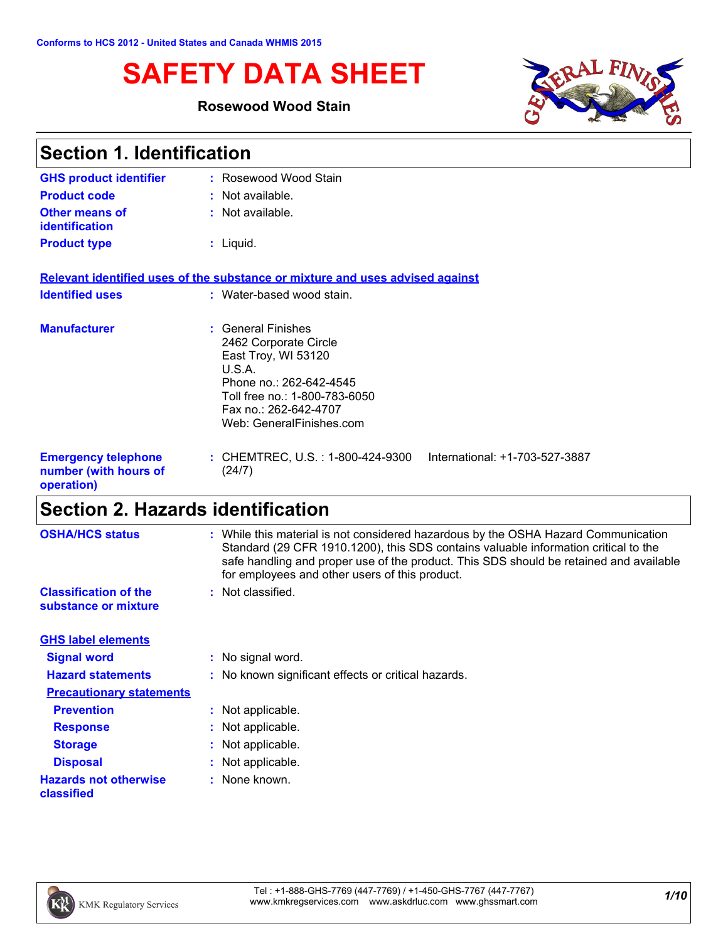# **SAFETY DATA SHEET**

### **Rosewood Wood Stain**



| <b>Section 1. Identification</b>                                  |                                                                                                                                                                                               |  |
|-------------------------------------------------------------------|-----------------------------------------------------------------------------------------------------------------------------------------------------------------------------------------------|--|
| <b>GHS product identifier</b>                                     | : Rosewood Wood Stain                                                                                                                                                                         |  |
| <b>Product code</b>                                               | : Not available.                                                                                                                                                                              |  |
| Other means of<br><b>identification</b>                           | : Not available.                                                                                                                                                                              |  |
| <b>Product type</b>                                               | $:$ Liquid.                                                                                                                                                                                   |  |
|                                                                   | Relevant identified uses of the substance or mixture and uses advised against                                                                                                                 |  |
| <b>Identified uses</b>                                            | : Water-based wood stain.                                                                                                                                                                     |  |
| <b>Manufacturer</b>                                               | : General Finishes<br>2462 Corporate Circle<br>East Troy, WI 53120<br>U.S.A.<br>Phone no.: 262-642-4545<br>Toll free no.: 1-800-783-6050<br>Fax no.: 262-642-4707<br>Web: GeneralFinishes.com |  |
| <b>Emergency telephone</b><br>number (with hours of<br>operation) | : CHEMTREC, U.S. : 1-800-424-9300<br>International: +1-703-527-3887<br>(24/7)                                                                                                                 |  |

# **Section 2. Hazards identification**

| <b>OSHA/HCS status</b>                               | : While this material is not considered hazardous by the OSHA Hazard Communication<br>Standard (29 CFR 1910.1200), this SDS contains valuable information critical to the<br>safe handling and proper use of the product. This SDS should be retained and available<br>for employees and other users of this product. |
|------------------------------------------------------|-----------------------------------------------------------------------------------------------------------------------------------------------------------------------------------------------------------------------------------------------------------------------------------------------------------------------|
| <b>Classification of the</b><br>substance or mixture | : Not classified.                                                                                                                                                                                                                                                                                                     |
| <b>GHS label elements</b>                            |                                                                                                                                                                                                                                                                                                                       |
| <b>Signal word</b>                                   | : No signal word.                                                                                                                                                                                                                                                                                                     |
| <b>Hazard statements</b>                             | : No known significant effects or critical hazards.                                                                                                                                                                                                                                                                   |
| <b>Precautionary statements</b>                      |                                                                                                                                                                                                                                                                                                                       |
| <b>Prevention</b>                                    | : Not applicable.                                                                                                                                                                                                                                                                                                     |
| <b>Response</b>                                      | : Not applicable.                                                                                                                                                                                                                                                                                                     |
| <b>Storage</b>                                       | : Not applicable.                                                                                                                                                                                                                                                                                                     |
| <b>Disposal</b>                                      | : Not applicable.                                                                                                                                                                                                                                                                                                     |
| <b>Hazards not otherwise</b><br>classified           | : None known.                                                                                                                                                                                                                                                                                                         |

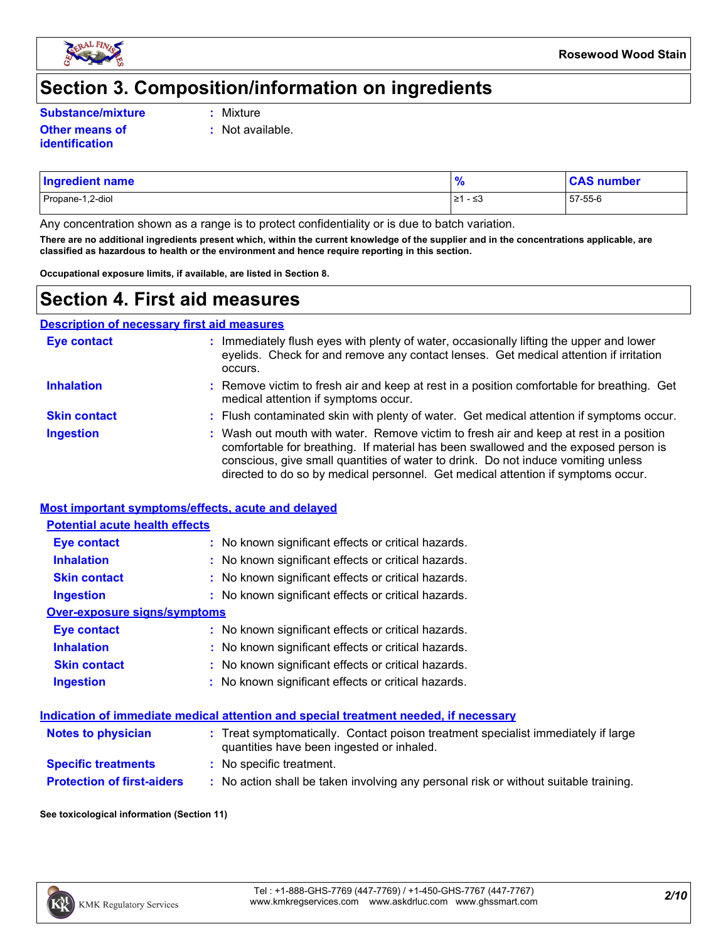

### **Section 3. Composition/information on ingredients**

**Substance/mixture :**

**Other means of identification**

- Mixture
- **:** Not available.

| <b>Ingredient name</b> | $\bullet$           | number ہ |
|------------------------|---------------------|----------|
| Propane-1,2-diol       | مر<br>∣≥1<br>س ⊆- ∵ | 57-55-6  |

Any concentration shown as a range is to protect confidentiality or is due to batch variation.

**There are no additional ingredients present which, within the current knowledge of the supplier and in the concentrations applicable, are classified as hazardous to health or the environment and hence require reporting in this section.**

**Occupational exposure limits, if available, are listed in Section 8.**

### **Section 4. First aid measures**

**Description of necessary first aid measures**

| <b>Eye contact</b>  | : Immediately flush eyes with plenty of water, occasionally lifting the upper and lower<br>eyelids. Check for and remove any contact lenses. Get medical attention if irritation<br>occurs.                                                                                                                                                            |
|---------------------|--------------------------------------------------------------------------------------------------------------------------------------------------------------------------------------------------------------------------------------------------------------------------------------------------------------------------------------------------------|
| <b>Inhalation</b>   | : Remove victim to fresh air and keep at rest in a position comfortable for breathing. Get<br>medical attention if symptoms occur.                                                                                                                                                                                                                     |
| <b>Skin contact</b> | : Flush contaminated skin with plenty of water. Get medical attention if symptoms occur.                                                                                                                                                                                                                                                               |
| <b>Ingestion</b>    | : Wash out mouth with water. Remove victim to fresh air and keep at rest in a position<br>comfortable for breathing. If material has been swallowed and the exposed person is<br>conscious, give small quantities of water to drink. Do not induce vomiting unless<br>directed to do so by medical personnel. Get medical attention if symptoms occur. |

#### **Most important symptoms/effects, acute and delayed**

| <b>Potential acute health effects</b> |                                                     |
|---------------------------------------|-----------------------------------------------------|
| <b>Eye contact</b>                    | : No known significant effects or critical hazards. |
| <b>Inhalation</b>                     | : No known significant effects or critical hazards. |
| <b>Skin contact</b>                   | : No known significant effects or critical hazards. |
| <b>Ingestion</b>                      | : No known significant effects or critical hazards. |
| Over-exposure signs/symptoms          |                                                     |
| <b>Eye contact</b>                    | : No known significant effects or critical hazards. |
| <b>Inhalation</b>                     | : No known significant effects or critical hazards. |
| <b>Skin contact</b>                   | : No known significant effects or critical hazards. |
| <b>Ingestion</b>                      | : No known significant effects or critical hazards. |

#### **Indication of immediate medical attention and special treatment needed, if necessary**

| <b>Notes to physician</b>         | : Treat symptomatically. Contact poison treatment specialist immediately if large<br>quantities have been ingested or inhaled. |
|-----------------------------------|--------------------------------------------------------------------------------------------------------------------------------|
| <b>Specific treatments</b>        | : No specific treatment.                                                                                                       |
| <b>Protection of first-aiders</b> | No action shall be taken involving any personal risk or without suitable training.                                             |

#### **See toxicological information (Section 11)**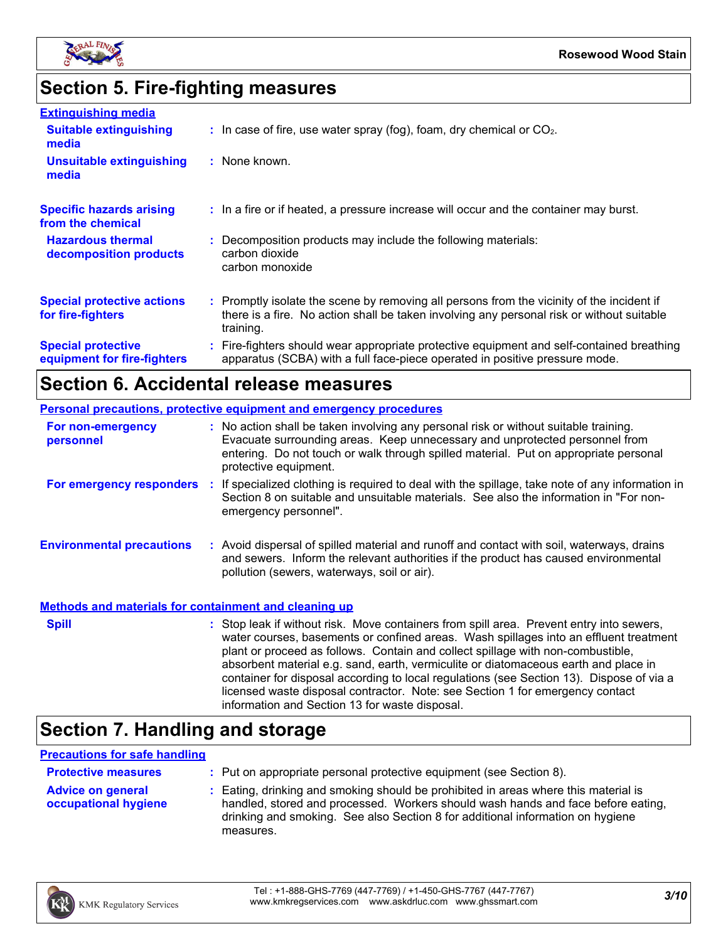

# **Section 5. Fire-fighting measures**

| <b>Extinguishing media</b>                               |                                                                                                                                                                                                     |
|----------------------------------------------------------|-----------------------------------------------------------------------------------------------------------------------------------------------------------------------------------------------------|
| <b>Suitable extinguishing</b><br>media                   | $\therefore$ In case of fire, use water spray (fog), foam, dry chemical or CO <sub>2</sub> .                                                                                                        |
| <b>Unsuitable extinguishing</b><br>media                 | : None known.                                                                                                                                                                                       |
| <b>Specific hazards arising</b><br>from the chemical     | : In a fire or if heated, a pressure increase will occur and the container may burst.                                                                                                               |
| <b>Hazardous thermal</b><br>decomposition products       | : Decomposition products may include the following materials:<br>carbon dioxide<br>carbon monoxide                                                                                                  |
| <b>Special protective actions</b><br>for fire-fighters   | : Promptly isolate the scene by removing all persons from the vicinity of the incident if<br>there is a fire. No action shall be taken involving any personal risk or without suitable<br>training. |
| <b>Special protective</b><br>equipment for fire-fighters | : Fire-fighters should wear appropriate protective equipment and self-contained breathing<br>apparatus (SCBA) with a full face-piece operated in positive pressure mode.                            |

## **Section 6. Accidental release measures**

|                                                              | <b>Personal precautions, protective equipment and emergency procedures</b>                                                                                                                                                                                                                                                                                                                                                                                                                                                                                                                 |
|--------------------------------------------------------------|--------------------------------------------------------------------------------------------------------------------------------------------------------------------------------------------------------------------------------------------------------------------------------------------------------------------------------------------------------------------------------------------------------------------------------------------------------------------------------------------------------------------------------------------------------------------------------------------|
| For non-emergency<br>personnel                               | : No action shall be taken involving any personal risk or without suitable training.<br>Evacuate surrounding areas. Keep unnecessary and unprotected personnel from<br>entering. Do not touch or walk through spilled material. Put on appropriate personal<br>protective equipment.                                                                                                                                                                                                                                                                                                       |
|                                                              | For emergency responders : If specialized clothing is required to deal with the spillage, take note of any information in<br>Section 8 on suitable and unsuitable materials. See also the information in "For non-<br>emergency personnel".                                                                                                                                                                                                                                                                                                                                                |
| <b>Environmental precautions</b>                             | : Avoid dispersal of spilled material and runoff and contact with soil, waterways, drains<br>and sewers. Inform the relevant authorities if the product has caused environmental<br>pollution (sewers, waterways, soil or air).                                                                                                                                                                                                                                                                                                                                                            |
| <b>Methods and materials for containment and cleaning up</b> |                                                                                                                                                                                                                                                                                                                                                                                                                                                                                                                                                                                            |
| <b>Spill</b>                                                 | : Stop leak if without risk. Move containers from spill area. Prevent entry into sewers,<br>water courses, basements or confined areas. Wash spillages into an effluent treatment<br>plant or proceed as follows. Contain and collect spillage with non-combustible,<br>absorbent material e.g. sand, earth, vermiculite or diatomaceous earth and place in<br>container for disposal according to local regulations (see Section 13). Dispose of via a<br>licensed waste disposal contractor. Note: see Section 1 for emergency contact<br>information and Section 13 for waste disposal. |

# **Section 7. Handling and storage**

#### **Precautions for safe handling**

| <b>Protective measures</b>                       | : Put on appropriate personal protective equipment (see Section 8).                                                                                                                                                                                                    |
|--------------------------------------------------|------------------------------------------------------------------------------------------------------------------------------------------------------------------------------------------------------------------------------------------------------------------------|
| <b>Advice on general</b><br>occupational hygiene | : Eating, drinking and smoking should be prohibited in areas where this material is<br>handled, stored and processed. Workers should wash hands and face before eating,<br>drinking and smoking. See also Section 8 for additional information on hygiene<br>measures. |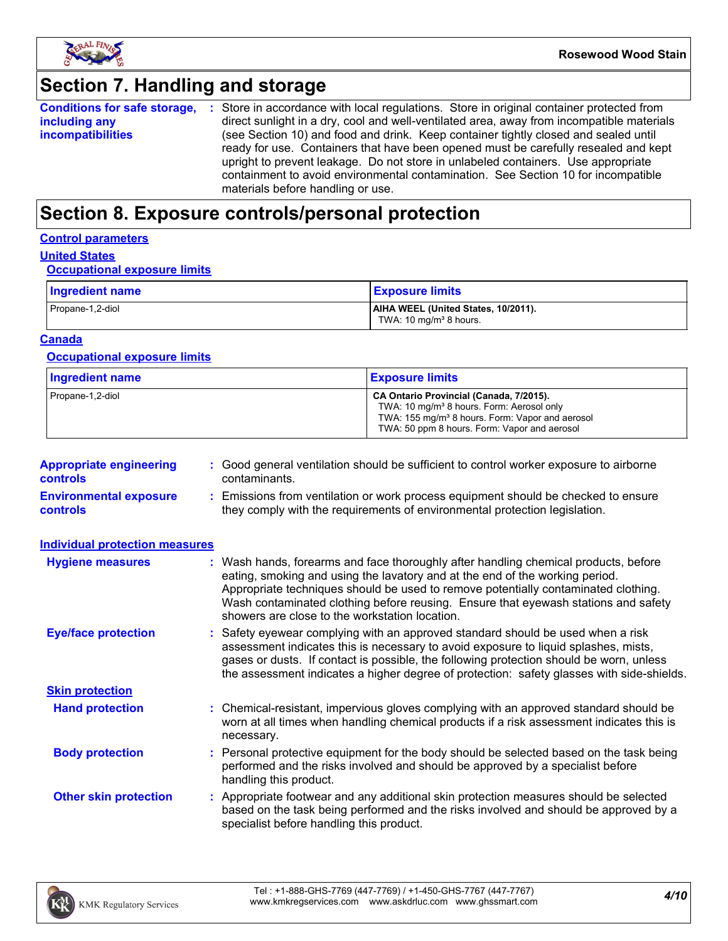

### **Section 7. Handling and storage**

| <b>Conditions for safe storage,</b> | : Store in accordance with local regulations. Store in original container protected from  |
|-------------------------------------|-------------------------------------------------------------------------------------------|
| including any                       | direct sunlight in a dry, cool and well-ventilated area, away from incompatible materials |
| <i>incompatibilities</i>            | (see Section 10) and food and drink. Keep container tightly closed and sealed until       |
|                                     | ready for use. Containers that have been opened must be carefully resealed and kept       |
|                                     | upright to prevent leakage. Do not store in unlabeled containers. Use appropriate         |
|                                     | containment to avoid environmental contamination. See Section 10 for incompatible         |
|                                     | materials before handling or use.                                                         |

## **Section 8. Exposure controls/personal protection**

#### **Control parameters**

#### **United States**

#### **Occupational exposure limits**

| Ingredient name  | <b>Exposure limits</b>                                                    |
|------------------|---------------------------------------------------------------------------|
| Propane-1,2-diol | AIHA WEEL (United States, 10/2011).<br>TWA: 10 mg/m <sup>3</sup> 8 hours. |

#### **Canada**

#### **Occupational exposure limits**

| <b>Ingredient name</b> | <b>Exposure limits</b>                                                                                                                                                                                          |
|------------------------|-----------------------------------------------------------------------------------------------------------------------------------------------------------------------------------------------------------------|
| Propane-1,2-diol       | CA Ontario Provincial (Canada, 7/2015).<br>TWA: 10 mg/m <sup>3</sup> 8 hours. Form: Aerosol only<br>TWA: 155 mg/m <sup>3</sup> 8 hours. Form: Vapor and aerosol<br>TWA: 50 ppm 8 hours. Form: Vapor and aerosol |

| <b>Appropriate engineering</b><br><b>controls</b> | : Good general ventilation should be sufficient to control worker exposure to airborne<br>contaminants.                                                          |
|---------------------------------------------------|------------------------------------------------------------------------------------------------------------------------------------------------------------------|
| <b>Environmental exposure</b><br><b>controls</b>  | : Emissions from ventilation or work process equipment should be checked to ensure<br>they comply with the requirements of environmental protection legislation. |

| <b>Individual protection measures</b> |                                                                                                                                                                                                                                                                                                                                                                                                   |
|---------------------------------------|---------------------------------------------------------------------------------------------------------------------------------------------------------------------------------------------------------------------------------------------------------------------------------------------------------------------------------------------------------------------------------------------------|
| <b>Hygiene measures</b>               | : Wash hands, forearms and face thoroughly after handling chemical products, before<br>eating, smoking and using the lavatory and at the end of the working period.<br>Appropriate techniques should be used to remove potentially contaminated clothing.<br>Wash contaminated clothing before reusing. Ensure that eyewash stations and safety<br>showers are close to the workstation location. |
| <b>Eye/face protection</b>            | : Safety eyewear complying with an approved standard should be used when a risk<br>assessment indicates this is necessary to avoid exposure to liquid splashes, mists,<br>gases or dusts. If contact is possible, the following protection should be worn, unless<br>the assessment indicates a higher degree of protection: safety glasses with side-shields.                                    |
| <b>Skin protection</b>                |                                                                                                                                                                                                                                                                                                                                                                                                   |
| <b>Hand protection</b>                | : Chemical-resistant, impervious gloves complying with an approved standard should be<br>worn at all times when handling chemical products if a risk assessment indicates this is<br>necessary.                                                                                                                                                                                                   |
| <b>Body protection</b>                | : Personal protective equipment for the body should be selected based on the task being<br>performed and the risks involved and should be approved by a specialist before<br>handling this product.                                                                                                                                                                                               |
| <b>Other skin protection</b>          | : Appropriate footwear and any additional skin protection measures should be selected<br>based on the task being performed and the risks involved and should be approved by a<br>specialist before handling this product.                                                                                                                                                                         |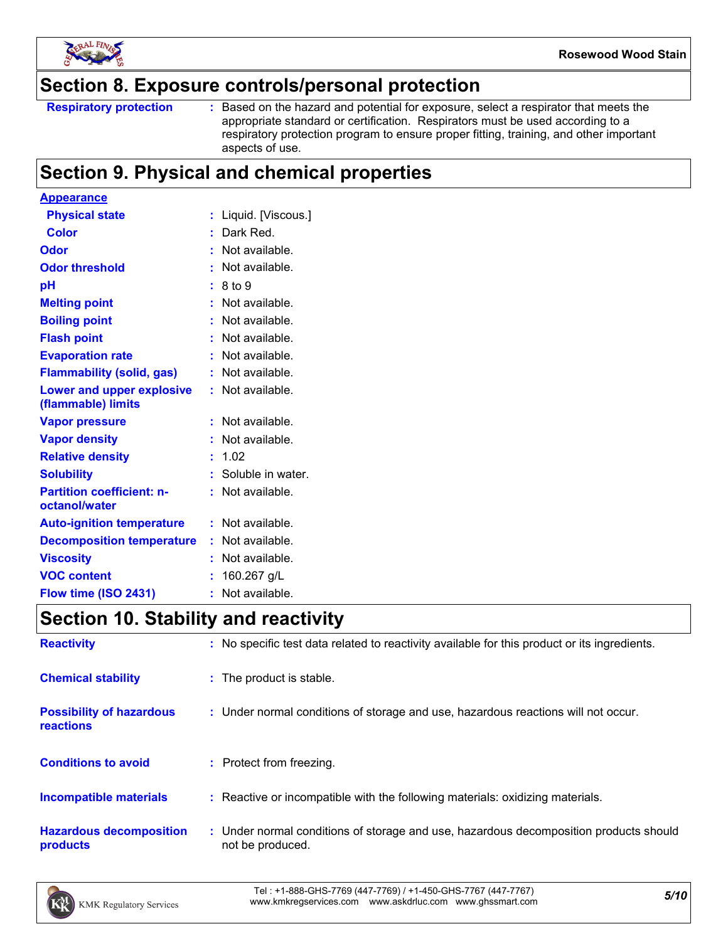

### **Section 8. Exposure controls/personal protection**

Based on the hazard and potential for exposure, select a respirator that meets the appropriate standard or certification. Respirators must be used according to a respiratory protection program to ensure proper fitting, training, and other important aspects of use.

### **Section 9. Physical and chemical properties**

| <b>Appearance</b>                                 |    |                     |
|---------------------------------------------------|----|---------------------|
| <b>Physical state</b>                             |    | Liquid. [Viscous.]  |
| <b>Color</b>                                      | ÷. | Dark Red.           |
| Odor                                              |    | Not available.      |
| <b>Odor threshold</b>                             |    | Not available.      |
| рH                                                |    | 8 to 9              |
| <b>Melting point</b>                              |    | Not available.      |
| <b>Boiling point</b>                              |    | Not available.      |
| <b>Flash point</b>                                |    | Not available.      |
| <b>Evaporation rate</b>                           |    | Not available.      |
| <b>Flammability (solid, gas)</b>                  |    | Not available.      |
| Lower and upper explosive<br>(flammable) limits   |    | Not available.      |
| <b>Vapor pressure</b>                             |    | Not available.      |
| <b>Vapor density</b>                              |    | Not available.      |
| <b>Relative density</b>                           |    | 1.02                |
| <b>Solubility</b>                                 |    | : Soluble in water. |
| <b>Partition coefficient: n-</b><br>octanol/water |    | Not available.      |
| <b>Auto-ignition temperature</b>                  |    | Not available.      |
| <b>Decomposition temperature</b>                  |    | Not available.      |
| <b>Viscosity</b>                                  |    | Not available.      |
| <b>VOC content</b>                                |    | 160.267 g/L         |
| Flow time (ISO 2431)                              | ŧ  | Not available.      |

## **Section 10. Stability and reactivity**

| <b>Reactivity</b>                            | : No specific test data related to reactivity available for this product or its ingredients.              |
|----------------------------------------------|-----------------------------------------------------------------------------------------------------------|
| <b>Chemical stability</b>                    | : The product is stable.                                                                                  |
| <b>Possibility of hazardous</b><br>reactions | : Under normal conditions of storage and use, hazardous reactions will not occur.                         |
| <b>Conditions to avoid</b>                   | : Protect from freezing.                                                                                  |
| <b>Incompatible materials</b>                | : Reactive or incompatible with the following materials: oxidizing materials.                             |
| <b>Hazardous decomposition</b><br>products   | : Under normal conditions of storage and use, hazardous decomposition products should<br>not be produced. |

*5/10* Tel : +1-888-GHS-7769 (447-7769) / +1-450-GHS-7767 (447-7767) www.kmkregservices.com www.askdrluc.com www.ghssmart.com

**Respiratory protection :**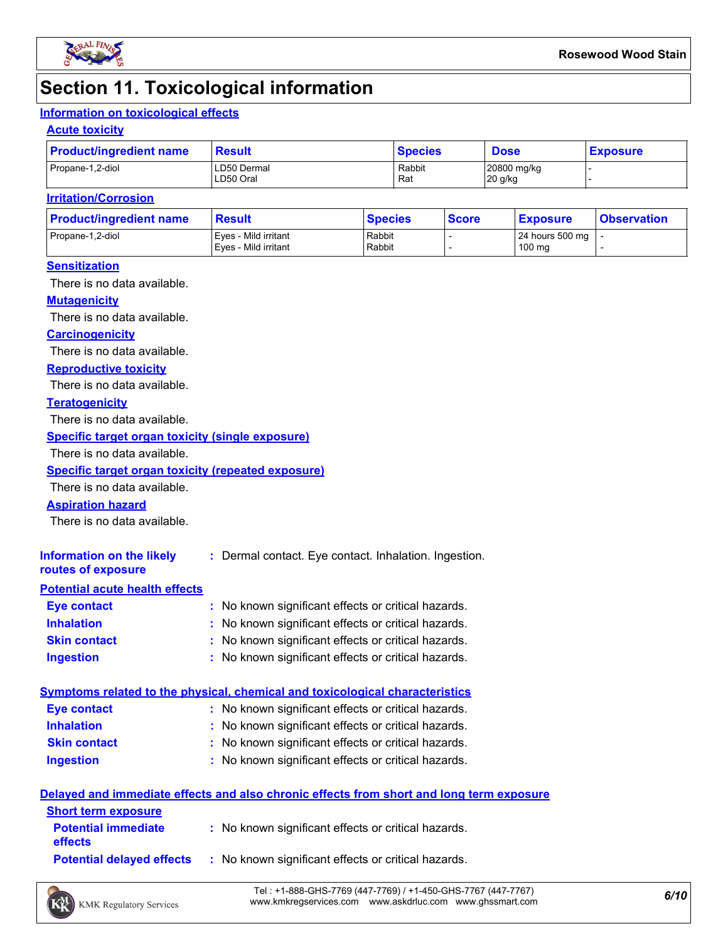

### **Section 11. Toxicological information**

### **Information on toxicological effects**

#### **Acute toxicity**

| <b>Product/ingredient name</b> | <b>Result</b>            | <b>Species</b> | <b>Dose</b>            | <b>Exposure</b> |
|--------------------------------|--------------------------|----------------|------------------------|-----------------|
| Propane-1,2-diol               | LD50 Dermal<br>LD50 Oral | Rabbit<br>Rat  | 20800 mg/kg<br>20 g/kg |                 |

#### **Irritation/Corrosion**

| <b>Product/ingredient name</b> | <b>Result</b>                                | <b>Species</b>   | <b>Score</b> | <u>  Exposure</u>         | <b>Observation</b> |
|--------------------------------|----------------------------------------------|------------------|--------------|---------------------------|--------------------|
| Propane-1,2-diol               | Eves - Mild irritant<br>Eves - Mild irritant | Rabbit<br>Rabbit |              | 24 hours 500 mg<br>100 mg |                    |
|                                |                                              |                  |              |                           |                    |

#### **Sensitization**

There is no data available.

#### **Mutagenicity**

There is no data available.

#### **Carcinogenicity**

There is no data available.

#### **Reproductive toxicity**

There is no data available.

#### **Teratogenicity**

There is no data available.

#### **Specific target organ toxicity (single exposure)**

There is no data available.

#### **Specific target organ toxicity (repeated exposure)**

There is no data available.

#### **Aspiration hazard**

There is no data available.

| Information on the likely<br>routes of exposure | : Dermal contact. Eye contact. Inhalation. Ingestion. |
|-------------------------------------------------|-------------------------------------------------------|
| <b>Potential acute health effects</b>           |                                                       |
| <b>Eye contact</b>                              | : No known significant effects or critical hazards.   |
| <b>Inhalation</b>                               | : No known significant effects or critical hazards.   |
| <b>Skin contact</b>                             | : No known significant effects or critical hazards.   |

#### **Ingestion :** No known significant effects or critical hazards.

| Symptoms related to the physical, chemical and toxicological characteristics |                                                     |  |  |  |
|------------------------------------------------------------------------------|-----------------------------------------------------|--|--|--|
| Eye contact                                                                  | : No known significant effects or critical hazards. |  |  |  |
| <b>Inhalation</b>                                                            | : No known significant effects or critical hazards. |  |  |  |
| <b>Skin contact</b>                                                          | : No known significant effects or critical hazards. |  |  |  |
| <b>Ingestion</b>                                                             | : No known significant effects or critical hazards. |  |  |  |

#### **Delayed and immediate effects and also chronic effects from short and long term exposure**

| <b>Short term exposure</b>                   |                                                     |
|----------------------------------------------|-----------------------------------------------------|
| <b>Potential immediate</b><br><b>effects</b> | : No known significant effects or critical hazards. |
| <b>Potential delaved effects</b>             | : No known significant effects or critical hazards. |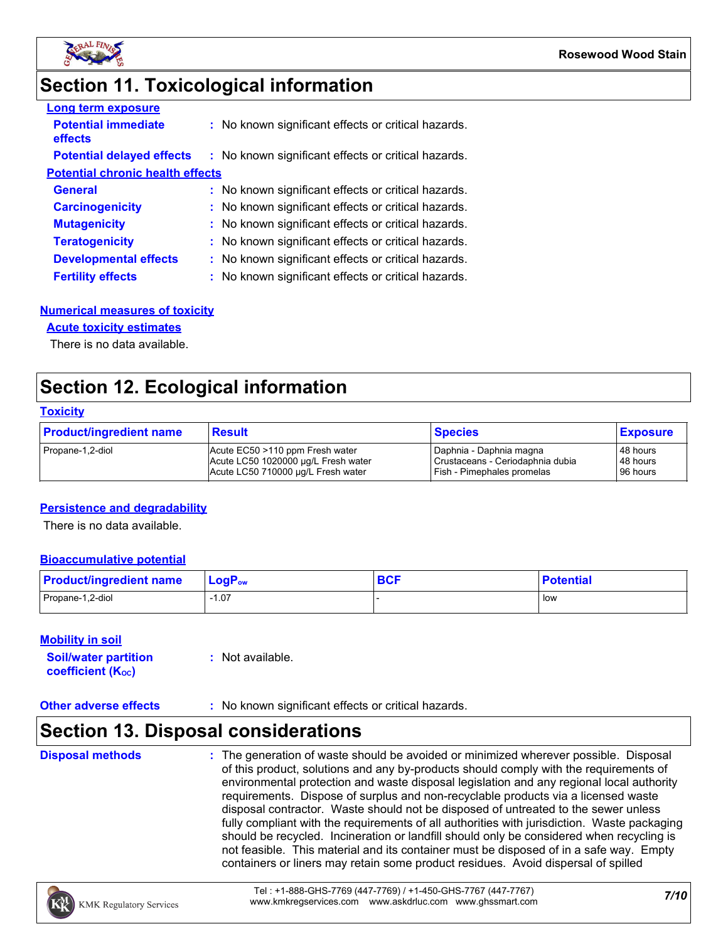

## **Section 11. Toxicological information**

| <b>Long term exposure</b>               |                                                     |
|-----------------------------------------|-----------------------------------------------------|
| <b>Potential immediate</b><br>effects   | : No known significant effects or critical hazards. |
| <b>Potential delayed effects</b>        | : No known significant effects or critical hazards. |
| <b>Potential chronic health effects</b> |                                                     |
| <b>General</b>                          | : No known significant effects or critical hazards. |
| <b>Carcinogenicity</b>                  | : No known significant effects or critical hazards. |
| <b>Mutagenicity</b>                     | : No known significant effects or critical hazards. |
| <b>Teratogenicity</b>                   | : No known significant effects or critical hazards. |
| <b>Developmental effects</b>            | : No known significant effects or critical hazards. |
| <b>Fertility effects</b>                | : No known significant effects or critical hazards. |

#### **Numerical measures of toxicity**

#### **Acute toxicity estimates**

There is no data available.

### **Section 12. Ecological information**

#### **Toxicity**

| <b>Product/ingredient name</b> | <b>Result</b>                       | <b>Species</b>                   | <b>Exposure</b> |
|--------------------------------|-------------------------------------|----------------------------------|-----------------|
| Propane-1,2-diol               | Acute EC50 >110 ppm Fresh water     | Daphnia - Daphnia magna          | 48 hours        |
|                                | Acute LC50 1020000 µg/L Fresh water | Crustaceans - Ceriodaphnia dubia | 48 hours        |
|                                | Acute LC50 710000 µg/L Fresh water  | Fish - Pimephales promelas       | 196 hours       |

#### **Persistence and degradability**

There is no data available.

#### **Bioaccumulative potential**

| <b>Product/ingredient name</b> | $LogPow$ | <b>DAC</b><br><b>DUI</b> | <b>Potential</b> |
|--------------------------------|----------|--------------------------|------------------|
| Propane-1,2-diol               | 07، ا    |                          | l low            |

#### **Mobility in soil**

| <b>Soil/water partition</b>    | $:$ Not available. |
|--------------------------------|--------------------|
| coefficient (K <sub>oc</sub> ) |                    |

#### **Other adverse effects** : No known significant effects or critical hazards.

### **Section 13. Disposal considerations**

**Disposal methods :**

The generation of waste should be avoided or minimized wherever possible. Disposal of this product, solutions and any by-products should comply with the requirements of environmental protection and waste disposal legislation and any regional local authority requirements. Dispose of surplus and non-recyclable products via a licensed waste disposal contractor. Waste should not be disposed of untreated to the sewer unless fully compliant with the requirements of all authorities with jurisdiction. Waste packaging should be recycled. Incineration or landfill should only be considered when recycling is not feasible. This material and its container must be disposed of in a safe way. Empty containers or liners may retain some product residues. Avoid dispersal of spilled

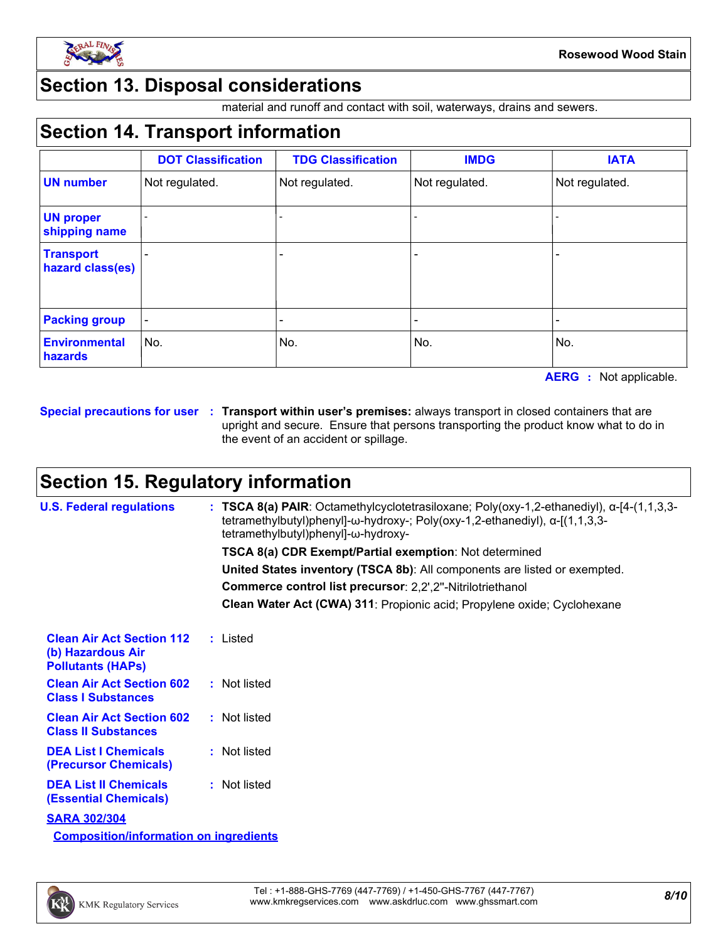

### **Section 13. Disposal considerations**

material and runoff and contact with soil, waterways, drains and sewers.

### **Section 14. Transport information**

|                                      | <b>DOT Classification</b> | <b>TDG Classification</b> | <b>IMDG</b>    | <b>IATA</b>    |
|--------------------------------------|---------------------------|---------------------------|----------------|----------------|
| <b>UN number</b>                     | Not regulated.            | Not regulated.            | Not regulated. | Not regulated. |
| <b>UN proper</b><br>shipping name    |                           |                           |                |                |
| <b>Transport</b><br>hazard class(es) |                           | -                         |                |                |
| <b>Packing group</b>                 |                           |                           |                |                |
| <b>Environmental</b><br>hazards      | No.                       | No.                       | No.            | No.            |

**AERG :** Not applicable.

**Special precautions for user Transport within user's premises:** always transport in closed containers that are **:** upright and secure. Ensure that persons transporting the product know what to do in the event of an accident or spillage.

### **Section 15. Regulatory information**

| <b>U.S. Federal regulations</b>                                                   | : TSCA 8(a) PAIR: Octamethylcyclotetrasiloxane; Poly(oxy-1,2-ethanediyl), $\alpha$ -[4-(1,1,3,3-<br>tetramethylbutyl)phenyl]- $\omega$ -hydroxy-; Poly(oxy-1,2-ethanediyl), $\alpha$ -[(1,1,3,3-<br>tetramethylbutyl)phenyl]-ω-hydroxy- |
|-----------------------------------------------------------------------------------|-----------------------------------------------------------------------------------------------------------------------------------------------------------------------------------------------------------------------------------------|
|                                                                                   | TSCA 8(a) CDR Exempt/Partial exemption: Not determined                                                                                                                                                                                  |
|                                                                                   | United States inventory (TSCA 8b): All components are listed or exempted.                                                                                                                                                               |
|                                                                                   | Commerce control list precursor: 2,2',2"-Nitrilotriethanol                                                                                                                                                                              |
|                                                                                   | Clean Water Act (CWA) 311: Propionic acid; Propylene oxide; Cyclohexane                                                                                                                                                                 |
| <b>Clean Air Act Section 112</b><br>(b) Hazardous Air<br><b>Pollutants (HAPS)</b> | : Listed                                                                                                                                                                                                                                |
| <b>Clean Air Act Section 602</b><br><b>Class I Substances</b>                     | : Not listed                                                                                                                                                                                                                            |
| <b>Clean Air Act Section 602</b><br><b>Class II Substances</b>                    | : Not listed                                                                                                                                                                                                                            |
| <b>DEA List I Chemicals</b><br>(Precursor Chemicals)                              | : Not listed                                                                                                                                                                                                                            |
| <b>DEA List II Chemicals</b><br><b>(Essential Chemicals)</b>                      | : Not listed                                                                                                                                                                                                                            |
| <b>SARA 302/304</b>                                                               |                                                                                                                                                                                                                                         |
| <b>Composition/information on ingredients</b>                                     |                                                                                                                                                                                                                                         |

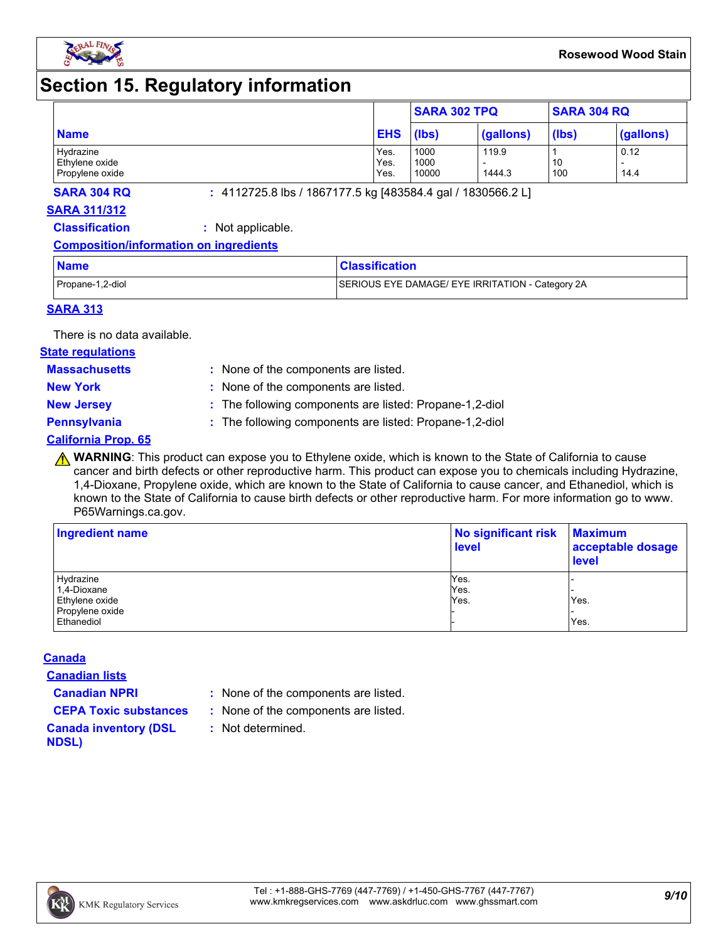

### **Section 15. Regulatory information**

|                             |              | <b>SARA 302 TPQ</b> |           | <b>SARA 304 RQ</b> |           |
|-----------------------------|--------------|---------------------|-----------|--------------------|-----------|
| <b>Name</b>                 | <b>EHS</b>   | (lbs)               | (gallons) | (lbs)              | (gallons) |
| Hydrazine<br>Ethylene oxide | Yes.<br>Yes. | 1000<br>1000        | 119.9     | 10                 | 0.12      |
| Propylene oxide             | Yes.         | 10000               | 1444.3    | 100                | 14.4      |

**SARA 304 RQ :** 4112725.8 lbs / 1867177.5 kg [483584.4 gal / 1830566.2 L]

#### **SARA 311/312**

**Classification :** Not applicable.

#### **Composition/information on ingredients**

| <b>Name</b>      | <b>Classification</b>                            |
|------------------|--------------------------------------------------|
| Propane-1,2-diol | SERIOUS EYE DAMAGE/ EYE IRRITATION - Category 2A |

#### **SARA 313**

There is no data available.

#### **State regulations**

**Massachusetts :**

: None of the components are listed. **New York :** None of the components are listed.

**New Jersey :** The following components are listed: Propane-1,2-diol

**Pennsylvania :** The following components are listed: Propane-1,2-diol

#### **California Prop. 65**

**A WARNING**: This product can expose you to Ethylene oxide, which is known to the State of California to cause cancer and birth defects or other reproductive harm. This product can expose you to chemicals including Hydrazine, 1,4-Dioxane, Propylene oxide, which are known to the State of California to cause cancer, and Ethanediol, which is known to the State of California to cause birth defects or other reproductive harm. For more information go to www. P65Warnings.ca.gov.

| Ingredient name | No significant risk<br><b>level</b> | <b>Maximum</b><br>acceptable dosage<br><b>level</b> |  |
|-----------------|-------------------------------------|-----------------------------------------------------|--|
| Hydrazine       | Yes.                                |                                                     |  |
| 1,4-Dioxane     | Yes.                                |                                                     |  |
| Ethylene oxide  | Yes.                                | Yes.                                                |  |
| Propylene oxide |                                     |                                                     |  |
| Ethanediol      |                                     | Yes.                                                |  |

#### **Canada**

**Canadian lists**

**Canadian NPRI :** None of the components are listed.

**CEPA Toxic substances :** None of the components are listed.

**:** Not determined.

**Canada inventory (DSL NDSL)**